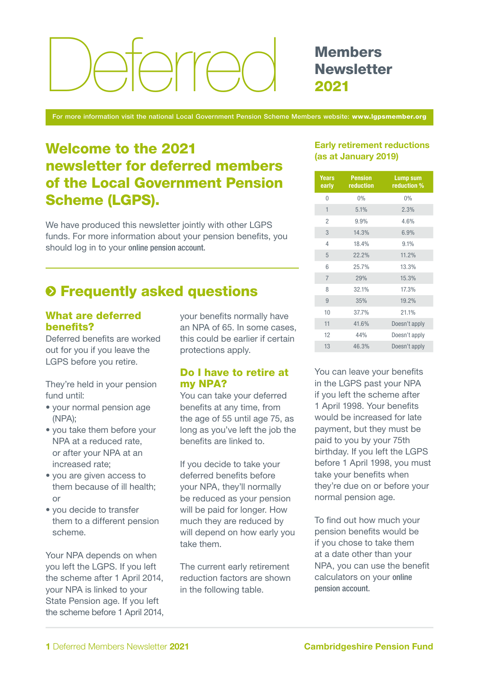# Deferred Members

# **Newsletter** 2021

For more information visit the national Local Government Pension Scheme Members website: www.lgpsmember.org

# Welcome to the 2021 newsletter for deferred members of the Local Government Pension Scheme (LGPS).

We have produced this newsletter jointly with other LGPS funds. For more information about your pension benefits, you should log in to your [online pension account.](https://lgssmember.pensiondetails.co.uk/home/login/index2.html)

# $\odot$  **Frequently asked questions**

### What are deferred benefits?

Deferred benefits are worked out for you if you leave the LGPS before you retire.

They're held in your pension fund until:

- your normal pension age (NPA);
- you take them before your NPA at a reduced rate, or after your NPA at an increased rate;
- you are given access to them because of ill health; or
- you decide to transfer them to a different pension scheme.

Your NPA depends on when you left the LGPS. If you left the scheme after 1 April 2014, your NPA is linked to your State Pension age. If you left the scheme before 1 April 2014, your benefits normally have an NPA of 65. In some cases, this could be earlier if certain protections apply.

### Do I have to retire at my NPA?

You can take your deferred benefits at any time, from the age of 55 until age 75, as long as you've left the job the benefits are linked to.

If you decide to take your deferred benefits before your NPA, they'll normally be reduced as your pension will be paid for longer. How much they are reduced by will depend on how early you take them.

The current early retirement reduction factors are shown in the following table.

### Early retirement reductions (as at January 2019)

| <b>Years</b><br>early | <b>Pension</b><br>reduction | <b>Lump sum</b><br>reduction % |
|-----------------------|-----------------------------|--------------------------------|
| 0                     | 0%                          | 0%                             |
| 1                     | 5.1%                        | 2.3%                           |
| $\overline{2}$        | 9.9%                        | 4.6%                           |
| 3                     | 14.3%                       | 6.9%                           |
| 4                     | 18.4%                       | 9.1%                           |
| 5                     | 22.2%                       | 11.2%                          |
| 6                     | 25.7%                       | 13.3%                          |
| $\overline{7}$        | 29%                         | 15.3%                          |
| 8                     | 32.1%                       | 17.3%                          |
| 9                     | 35%                         | 19.2%                          |
| 10                    | 37.7%                       | 21.1%                          |
| 11                    | 41.6%                       | Doesn't apply                  |
| 12                    | 44%                         | Doesn't apply                  |
| 13                    | 46.3%                       | Doesn't apply                  |

You can leave your benefits in the LGPS past your NPA if you left the scheme after 1 April 1998. Your benefits would be increased for late payment, but they must be paid to you by your 75th birthday. If you left the LGPS before 1 April 1998, you must take your benefits when they're due on or before your normal pension age.

To find out how much your pension benefits would be if you chose to take them at a date other than your NPA, you can use the benefit calculators on your [online](https://lgssmember.pensiondetails.co.uk/home/login/index2.html)  [pension account.](https://lgssmember.pensiondetails.co.uk/home/login/index2.html)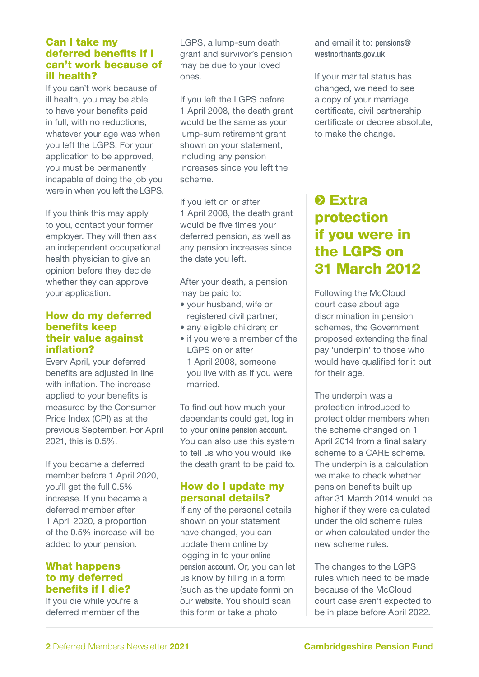### Can I take my deferred benefits if I can't work because of ill health?

If you can't work because of ill health, you may be able to have your benefits paid in full, with no reductions, whatever your age was when you left the LGPS. For your application to be approved, you must be permanently incapable of doing the job you were in when you left the LGPS.

If you think this may apply to you, contact your former employer. They will then ask an independent occupational health physician to give an opinion before they decide whether they can approve your application.

### How do my deferred benefits keep their value against inflation?

Every April, your deferred benefits are adjusted in line with inflation. The increase applied to your benefits is measured by the Consumer Price Index (CPI) as at the previous September. For April 2021, this is 0.5%.

If you became a deferred member before 1 April 2020, you'll get the full 0.5% increase. If you became a deferred member after 1 April 2020, a proportion of the 0.5% increase will be added to your pension.

### What happens to my deferred benefits if I die?

If you die while you're a deferred member of the LGPS, a lump-sum death grant and survivor's pension may be due to your loved ones.

If you left the LGPS before 1 April 2008, the death grant would be the same as your lump-sum retirement grant shown on your statement, including any pension increases since you left the scheme.

If you left on or after 1 April 2008, the death grant would be five times your deferred pension, as well as any pension increases since the date you left.

After your death, a pension may be paid to:

- your husband, wife or registered civil partner;
- any eligible children; or
- if you were a member of the LGPS on or after 1 April 2008, someone you live with as if you were married.

To find out how much your dependants could get, log in to your [online pension account.](https://lgssmember.pensiondetails.co.uk/home/login/index2.html) You can also use this system to tell us who you would like the death grant to be paid to.

### How do I update my personal details?

If any of the personal details shown on your statement have changed, you can update them online by logging in to your [online](https://lgssmember.pensiondetails.co.uk/home/login/index2.html)  [pension account.](https://lgssmember.pensiondetails.co.uk/home/login/index2.html) Or, you can let us know by filling in a form (such as the update form) on our [website.](https://lgssmember.pensiondetails.co.uk/home/members/lgps/deferred-members/forms-and-resources/index.html) You should scan this form or take a photo

and email it to: [pensions@](mailto:pensions%40westnorthants.gov.uk?subject=) [westnorthants.gov.uk](mailto:pensions%40westnorthants.gov.uk?subject=) 

If your marital status has changed, we need to see a copy of your marriage certificate, civil partnership certificate or decree absolute, to make the change.

# **O** Extra protection if you were in the LGPS on 31 March 2012

Following the McCloud court case about age discrimination in pension schemes, the Government proposed extending the final pay 'underpin' to those who would have qualified for it but for their age.

The underpin was a protection introduced to protect older members when the scheme changed on 1 April 2014 from a final salary scheme to a CARE scheme. The underpin is a calculation we make to check whether pension benefits built up after 31 March 2014 would be higher if they were calculated under the old scheme rules or when calculated under the new scheme rules.

The changes to the LGPS rules which need to be made because of the McCloud court case aren't expected to be in place before April 2022.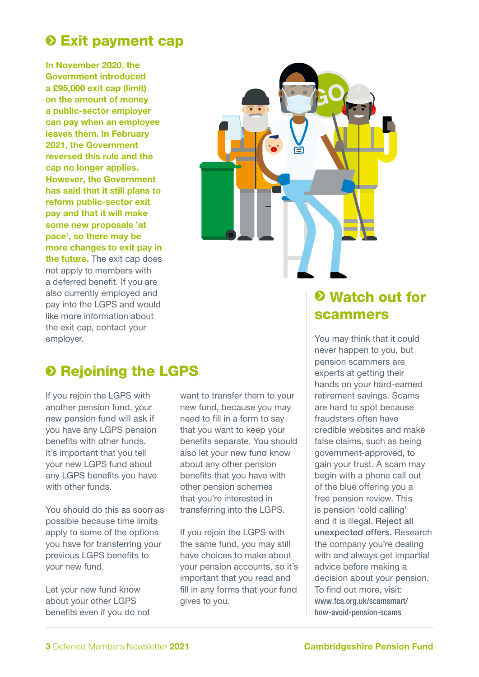# **O Exit payment cap**

In November 2020, the Government introduced a £95,000 exit cap (limit) on the amount of money a public-sector employer can pay when an employee leaves them. In February 2021, the Government reversed this rule and the cap no longer applies. However, the Government has said that it still plans to reform public-sector exit pay and that it will make some new proposals 'at pace', so there may be more changes to exit pay in the future. The exit cap does not apply to members with a deferred benefit. If you are also currently employed and pay into the LGPS and would like more information about the exit cap, contact your employer.



# **8 Rejoining the LGPS**

If you rejoin the LGPS with another pension fund, your new pension fund will ask if you have any LGPS pension benefits with other funds. It's important that you tell your new LGPS fund about any LGPS benefits you have with other funds.

You should do this as soon as possible because time limits apply to some of the options you have for transferring your previous LGPS benefits to your new fund.

Let your new fund know about your other LGPS benefits even if you do not

want to transfer them to your new fund, because you may need to fill in a form to say that you want to keep your benefits separate. You should also let your new fund know about any other pension benefits that you have with other pension schemes that you're interested in transferring into the LGPS.

If you rejoin the LGPS with the same fund, you may still have choices to make about your pension accounts, so it's important that you read and fill in any forms that your fund gives to you.

## Watch out for scammers

You may think that it could never happen to you, but pension scammers are experts at getting their hands on your hard-earned retirement savings. Scams are hard to spot because fraudsters often have credible websites and make false claims, such as being government-approved, to gain your trust. A scam may begin with a phone call out of the blue offering you a free pension review. This is pension 'cold calling' and it is illegal. Reject all unexpected offers. Research the company you're dealing with and always get impartial advice before making a decision about your pension. To find out more, visit: [www.fca.org.uk/scamsmart/](http://www.fca.org.uk/scamsmart/how-avoid-pension-scams) [how-avoid-pension-scams](http://www.fca.org.uk/scamsmart/how-avoid-pension-scams)